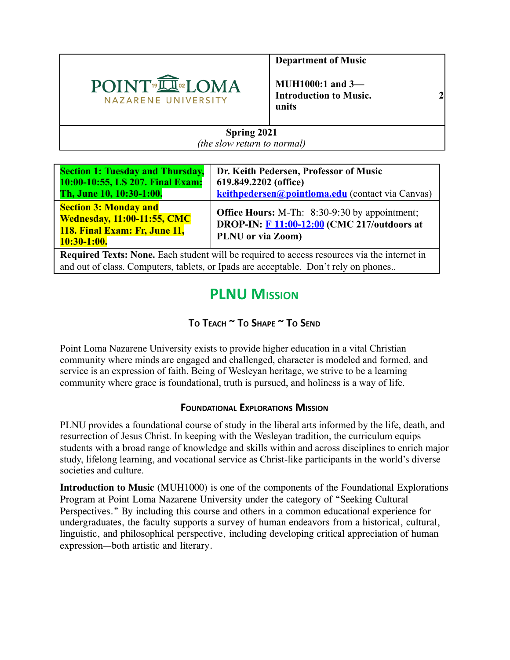

**Department of Music** 

**MUH1000:1 and 3— Introduction to Music. 2 units** 

#### **Spring 2021**  *(the slow return to normal)*

| <b>Section 1: Tuesday and Thursday,</b>                                                                              | Dr. Keith Pedersen, Professor of Music                                                                                          |
|----------------------------------------------------------------------------------------------------------------------|---------------------------------------------------------------------------------------------------------------------------------|
| 10:00-10:55, LS 207. Final Exam:                                                                                     | 619.849.2202 (office)                                                                                                           |
| Th, June 10, 10:30-1:00.                                                                                             | keithpedersen@pointloma.edu (contact via Canvas)                                                                                |
| <b>Section 3: Monday and</b><br><b>Wednesday, 11:00-11:55, CMC</b><br>118. Final Exam: Fr, June 11,<br>$10:30-1:00.$ | <b>Office Hours: M-Th:</b> 8:30-9:30 by appointment;<br>DROP-IN: <b>F</b> 11:00-12:00 (CMC 217/outdoors at<br>PLNU or via Zoom) |

**Required Texts: None.** Each student will be required to access resources via the internet in and out of class. Computers, tablets, or Ipads are acceptable. Don't rely on phones..

## **PLNU MISSION**

## **T<sup>O</sup> TEACH ~ T<sup>O</sup> SHAPE ~ T<sup>O</sup> SEND**

Point Loma Nazarene University exists to provide higher education in a vital Christian community where minds are engaged and challenged, character is modeled and formed, and service is an expression of faith. Being of Wesleyan heritage, we strive to be a learning community where grace is foundational, truth is pursued, and holiness is a way of life.

#### **FOUNDATIONAL EXPLORATIONS MISSION**

PLNU provides a foundational course of study in the liberal arts informed by the life, death, and resurrection of Jesus Christ. In keeping with the Wesleyan tradition, the curriculum equips students with a broad range of knowledge and skills within and across disciplines to enrich major study, lifelong learning, and vocational service as Christ-like participants in the world's diverse societies and culture.

**Introduction to Music** (MUH1000) is one of the components of the Foundational Explorations Program at Point Loma Nazarene University under the category of "Seeking Cultural Perspectives." By including this course and others in a common educational experience for undergraduates, the faculty supports a survey of human endeavors from a historical, cultural, linguistic, and philosophical perspective, including developing critical appreciation of human expression—both artistic and literary.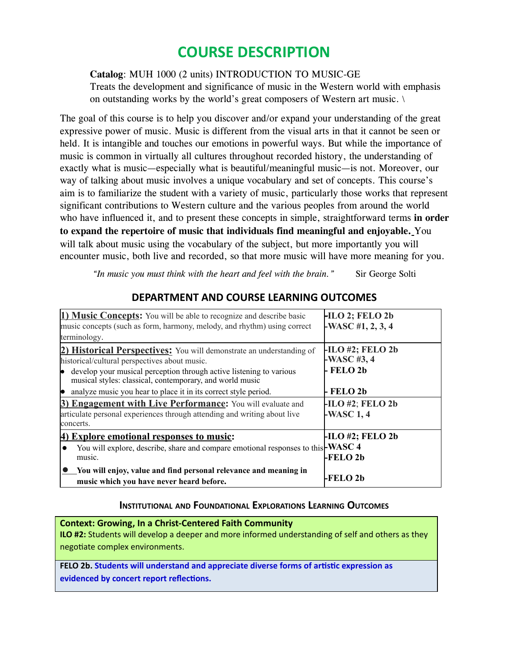# **COURSE DESCRIPTION**

Catalog: MUH 1000 (2 units) INTRODUCTION TO MUSIC-GE

Treats the development and significance of music in the Western world with emphasis on outstanding works by the world's great composers of Western art music. \

The goal of this course is to help you discover and/or expand your understanding of the great expressive power of music. Music is different from the visual arts in that it cannot be seen or held. It is intangible and touches our emotions in powerful ways. But while the importance of music is common in virtually all cultures throughout recorded history, the understanding of exactly what is music—especially what is beautiful/meaningful music—is not. Moreover, our way of talking about music involves a unique vocabulary and set of concepts. This course's aim is to familiarize the student with a variety of music, particularly those works that represent significant contributions to Western culture and the various peoples from around the world who have influenced it, and to present these concepts in simple, straightforward terms **in order to expand the repertoire of music that individuals find meaningful and enjoyable.** You will talk about music using the vocabulary of the subject, but more importantly you will encounter music, both live and recorded, so that more music will have more meaning for you.

*"In music you must think with the heart and feel with the brain."* Sir George Solti

| 1) Music Concepts: You will be able to recognize and describe basic<br>music concepts (such as form, harmony, melody, and rhythm) using correct                                                                                                                 | $-HLO$ 2; FELO 2b<br>-WASC #1, $2, 3, 4$         |  |
|-----------------------------------------------------------------------------------------------------------------------------------------------------------------------------------------------------------------------------------------------------------------|--------------------------------------------------|--|
| terminology.                                                                                                                                                                                                                                                    |                                                  |  |
| <b>2) Historical Perspectives:</b> You will demonstrate an understanding of<br>historical/cultural perspectives about music.<br>develop your musical perception through active listening to various<br>musical styles: classical, contemporary, and world music | $-HLO$ #2; FELO 2b<br>-WASC $#3, 4$<br>- FELO 2b |  |
| analyze music you hear to place it in its correct style period.                                                                                                                                                                                                 | - FELO 2b                                        |  |
| <b>3) Engagement with Live Performance:</b> You will evaluate and<br>articulate personal experiences through attending and writing about live<br>concerts.                                                                                                      | $-$ ILO #2; FELO 2b<br>$-WASC 1, 4$              |  |
| <b>Explore emotional responses to music:</b><br>You will explore, describe, share and compare emotional responses to this WASC 4<br>music.                                                                                                                      | <b>-ILO #2; FELO 2b</b><br>-FELO <sub>2b</sub>   |  |
| You will enjoy, value and find personal relevance and meaning in<br>music which you have never heard before.                                                                                                                                                    | -FELO 2b                                         |  |

### **DEPARTMENT AND COURSE LEARNING OUTCOMES**

#### **INSTITUTIONAL AND FOUNDATIONAL EXPLORATIONS LEARNING OUTCOMES**

**Context: Growing, In a Christ-Centered Faith Community ILO #2:** Students will develop a deeper and more informed understanding of self and others as they negotiate complex environments. **FELO 2b. Students will understand and appreciate diverse forms of arsc expression as evidenced by concert report reflections.**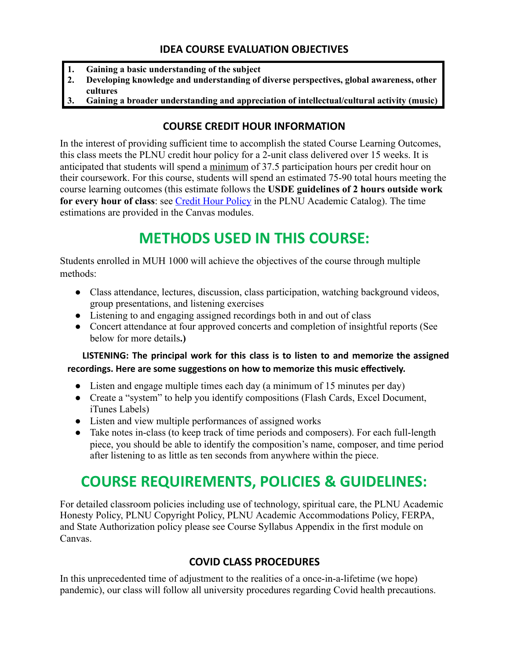- **1. Gaining a basic understanding of the subject**
- **2. Developing knowledge and understanding of diverse perspectives, global awareness, other cultures**
- **3. Gaining a broader understanding and appreciation of intellectual/cultural activity (music)**

## **COURSE CREDIT HOUR INFORMATION**

In the interest of providing sufficient time to accomplish the stated Course Learning Outcomes, this class meets the PLNU credit hour policy for a 2-unit class delivered over 15 weeks. It is anticipated that students will spend a minimum of 37.5 participation hours per credit hour on their coursework. For this course, students will spend an estimated 75-90 total hours meeting the course learning outcomes (this estimate follows the **USDE guidelines of 2 hours outside work for every hour of class** : see [Credit Hour Policy](https://catalog.pointloma.edu/content.php?catoid=46&navoid=2650#Credit_Hour_Definition) in the PLNU Academic Catalog). The time estimations are provided in the Canvas modules.

# **METHODS USED IN THIS COURSE:**

Students enrolled in MUH 1000 will achieve the objectives of the course through multiple methods:

- **●** Class attendance, lectures, discussion, class participation, watching background videos, group presentations, and listening exercises
- **●** Listening to and engaging assigned recordings both in and out of class
- **●** Concert attendance at four approved concerts and completion of insightful reports (See below for more details **.)**

### **LISTENING: The principal work for this class is to listen to and memorize the assigned**  recordings. Here are some suggestions on how to memorize this music effectively.

- Listen and engage multiple times each day (a minimum of 15 minutes per day)
- Create a "system" to help you identify compositions (Flash Cards, Excel Document, iTunes Labels)
- Listen and view multiple performances of assigned works
- Take notes in-class (to keep track of time periods and composers). For each full-length piece, you should be able to identify the composition's name, composer, and time period after listening to as little as ten seconds from anywhere within the piece.

# **COURSE REQUIREMENTS, POLICIES & GUIDELINES:**

For detailed classroom policies including use of technology, spiritual care, the PLNU Academic Honesty Policy, PLNU Copyright Policy, PLNU Academic Accommodations Policy, FERPA, and State Authorization policy please see Course Syllabus Appendix in the first module on Canvas.

## **COVID CLASS PROCEDURES**

In this unprecedented time of adjustment to the realities of a once-in-a-lifetime (we hope) pandemic), our class will follow all university procedures regarding Covid health precautions.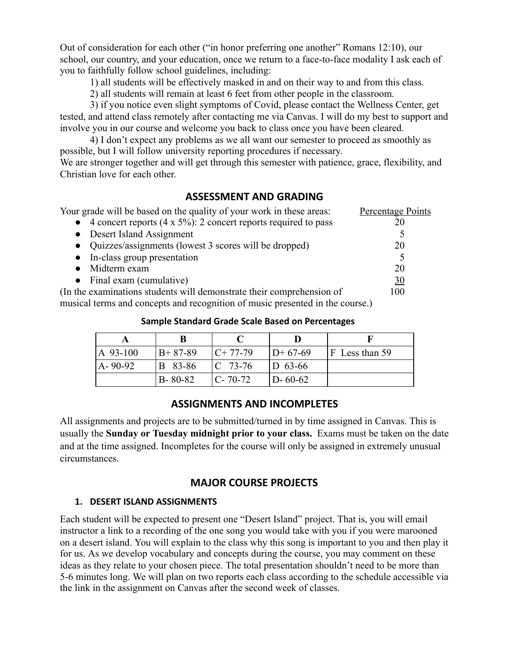Out of consideration for each other ("in honor preferring one another" Romans 12:10), our school, our country, and your education, once we return to a face-to-face modality I ask each of you to faithfully follow school guidelines, including:

1) all students will be effectively masked in and on their way to and from this class.

2) all students will remain at least 6 feet from other people in the classroom.

3) if you notice even slight symptoms of Covid, please contact the Wellness Center, get tested, and attend class remotely after contacting me via Canvas. I will do my best to support and involve you in our course and welcome you back to class once you have been cleared.

4) I don't expect any problems as we all want our semester to proceed as smoothly as possible, but I will follow university reporting procedures if necessary.

We are stronger together and will get through this semester with patience, grace, flexibility, and Christian love for each other.

#### **ASSESSMENT AND GRADING**

| Your grade will be based on the quality of your work in these areas:         | Percentage Points |
|------------------------------------------------------------------------------|-------------------|
| • 4 concert reports $(4 \times 5\%)$ : 2 concert reports required to pass    |                   |
| • Desert Island Assignment                                                   |                   |
| • Quizzes/assignments (lowest 3 scores will be dropped)                      | 20                |
| • In-class group presentation                                                |                   |
| • Midterm exam                                                               | 20                |
| • Final exam (cumulative)                                                    | <u>30</u>         |
| (In the examinations students will demonstrate their comprehension of        | 100               |
| musical terms and concents and recognition of music presented in the course) |                   |

musical terms and concepts and recognition of music presented in the course.)

#### **Sample Standard Grade Scale Based on Percentages**

| $A$ 93-100    | $B+87-89$     | $C+77-79$           | $ID+67-69$    | $ F $ Less than 59 |
|---------------|---------------|---------------------|---------------|--------------------|
| $A - 90 - 92$ | B 83-86       | $\mathsf{IC}$ 73-76 | $D_{63-66}$   |                    |
|               | $B - 80 - 82$ | $C - 70 - 72$       | $D - 60 - 62$ |                    |

#### **ASSIGNMENTS AND INCOMPLETES**

All assignments and projects are to be submitted/turned in by time assigned in Canvas. This is usually the **Sunday or Tuesday midnight prior to your class.** Exams must be taken on the date and at the time assigned. Incompletes for the course will only be assigned in extremely unusual circumstances.

#### **MAJOR COURSE PROJECTS**

#### **1. DESERT ISLAND ASSIGNMENTS**

Each student will be expected to present one "Desert Island" project. That is, you will email instructor a link to a recording of the one song you would take with you if you were marooned on a desert island. You will explain to the class why this song is important to you and then play it for us. As we develop vocabulary and concepts during the course, you may comment on these ideas as they relate to your chosen piece. The total presentation shouldn't need to be more than 5-6 minutes long. We will plan on two reports each class according to the schedule accessible via the link in the assignment on Canvas after the second week of classes.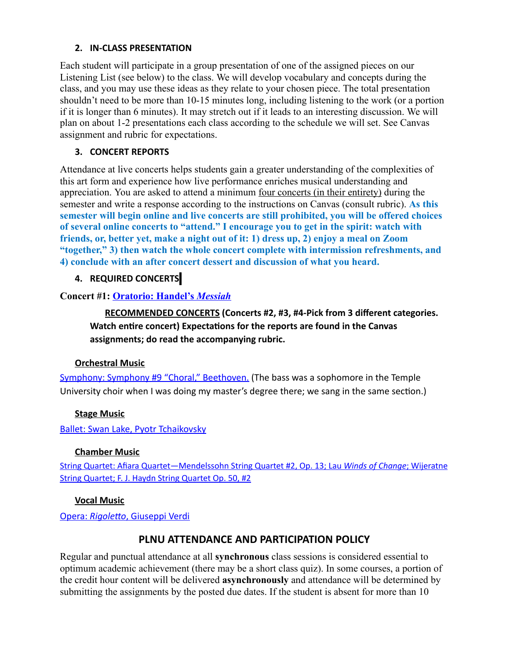#### **2. IN-CLASS PRESENTATION**

Each student will participate in a group presentation of one of the assigned pieces on our Listening List (see below) to the class. We will develop vocabulary and concepts during the class, and you may use these ideas as they relate to your chosen piece. The total presentation shouldn't need to be more than 10-15 minutes long, including listening to the work (or a portion if it is longer than 6 minutes). It may stretch out if it leads to an interesting discussion. We will plan on about 1-2 presentations each class according to the schedule we will set. See Canvas assignment and rubric for expectations.

#### **3. CONCERT REPORTS**

Attendance at live concerts helps students gain a greater understanding of the complexities of this art form and experience how live performance enriches musical understanding and appreciation. You are asked to attend a minimum <u>four concerts (in their entirety</u>) during the semester and write a response according to the instructions on Canvas (consult rubric). **As this semester will begin online and live concerts are still prohibited, you will be offered choices of several online concerts to "attend." I encourage you to get in the spirit: watch with friends, or, better yet, make a night out of it: 1) dress up, 2) enjoy a meal on Zoom "together," 3) then watch the whole concert complete with intermission refreshments, and 4) conclude with an after concert dessert and discussion of what you heard.** 

#### **4. REQUIRED CONCERTS**

#### **Concert #1: [Oratorio: Handel's](https://youtu.be/wLwmo6bFGzA)** *[Messiah](https://youtu.be/wLwmo6bFGzA)*

**RECOMMENDED CONCERTS (Concerts #2, #3, #4-Pick from 3 different categories. Watch entire concert) Expectations for the reports are found in the Canvas assignments; do read the accompanying rubric.** 

#### **Orchestral Music**

[Symphony: Symphony #9 "Choral," Beethoven.](https://youtu.be/rOjHhS5MtvA?list=PLFhCyd0u4PXBp6ruLiFiqQY_KLYDngr4M) (The bass was a sophomore in the Temple University choir when I was doing my master's degree there; we sang in the same section.)

#### **Stage Music**

[Ballet: Swan Lake, Pyotr Tchaikovsky](https://youtu.be/9rJoB7y6Ncs) 

#### **Chamber Music**

String Quartet: Afiara [Quartet—Mendelssohn](https://youtu.be/cF5W_6zw5Kg) String Quartet #2, Op. 13; Lau *Winds [of Change](https://youtu.be/cF5W_6zw5Kg)*; [Wijeratne](https://youtu.be/cF5W_6zw5Kg) String [Quartet;](https://youtu.be/cF5W_6zw5Kg) F. J. Haydn String Quartet Op. 50, #2

#### **Vocal Music**

[Opera:](https://youtu.be/fYDI6MWkCW8) *Rigoletto*, Giuseppi Verdi

#### **PLNU ATTENDANCE AND PARTICIPATION POLICY**

Regular and punctual attendance at all **synchronous** class sessions is considered essential to optimum academic achievement (there may be a short class quiz). In some courses, a portion of the credit hour content will be delivered **asynchronously** and attendance will be determined by submitting the assignments by the posted due dates. If the student is absent for more than 10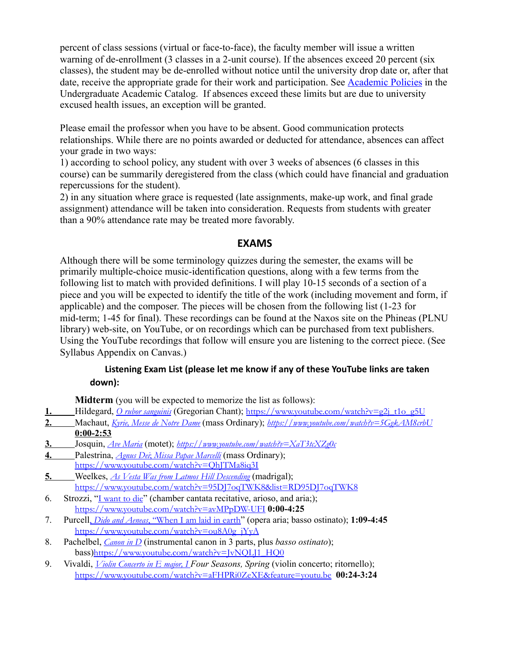percent of class sessions (virtual or face-to-face), the faculty member will issue a written warning of de-enrollment (3 classes in a 2-unit course). If the absences exceed 20 percent (six classes), the student may be de-enrolled without notice until the university drop date or, after that date, receive the appropriate grade for their work and participation. See [Academic Policies](https://catalog.pointloma.edu/content.php?catoid=46&navoid=2650#Class_Attendance) in the Undergraduate Academic Catalog. If absences exceed these limits but are due to university excused health issues, an exception will be granted.

Please email the professor when you have to be absent. Good communication protects relationships. While there are no points awarded or deducted for attendance, absences can affect your grade in two ways:

1) according to school policy, any student with over 3 weeks of absences (6 classes in this course) can be summarily deregistered from the class (which could have financial and graduation repercussions for the student).

2) in any situation where grace is requested (late assignments, make-up work, and final grade assignment) attendance will be taken into consideration. Requests from students with greater than a 90% attendance rate may be treated more favorably.

#### **EXAMS**

Although there will be some terminology quizzes during the semester, the exams will be primarily multiple-choice music-identification questions, along with a few terms from the following list to match with provided definitions. I will play 10-15 seconds of a section of a piece and you will be expected to identify the title of the work (including movement and form, if applicable) and the composer. The pieces will be chosen from the following list (1-23 for mid-term; 1-45 for final). These recordings can be found at the Naxos site on the Phineas (PLNU library) web-site, on YouTube, or on recordings which can be purchased from text publishers. Using the YouTube recordings that follow will ensure you are listening to the correct piece. (See Syllabus Appendix on Canvas.)

#### **Listening Exam List (please let me know if any of these YouTube links are taken down):**

**Midterm** (you will be expected to memorize the list as follows):

- **1.** Hildegard, *O rubor [sanguinis](https://www.youtube.com/watch?v=g2j_t1o_g5U)* (Gregorian Chant); [https://www.youtube.com/watch?v=g2j\\_t1o\\_g5U](https://www.youtube.com/watch?v=g2j_t1o_g5U)
- **2.** Machaut, *Kyrie, Messe de Notre [Dame](https://www.youtube.com/watch?v=5GgkAM8crbU)* (mass Ordinary); *<https://www.youtube.com/watch?v=5GgkAM8crbU>* **0:00-2:53**
- **3.** Josquin, *Ave [Maria](https://www.youtube.com/watch?v=qUNzi900ZJw)* (motet); *[https://www.youtube.com/watch?v=XaT3tcXZg0c](https://www.youtube.com/watch?v=qUNzi900ZJw)*
- **4.** Palestrina, *[Agnus](https://www.youtube.com/watch?v=QhJTMa8iq3I) Dei*[;](https://www.youtube.com/watch?v=QhJTMa8iq3I) *Missa Papae [Marcelli](https://www.youtube.com/watch?v=QhJTMa8iq3I)* (mass Ordinary); <https://www.youtube.com/watch?v=QhJTMa8iq3I>
- **5.** Weelkes, *As Vesta Was from Latmos Hill [Descending](https://www.youtube.com/watch?v=95DJ7oqTWK8&list=RD95DJ7oqTWK8)* (madrigal); <https://www.youtube.com/watch?v=95DJ7oqTWK8&list=RD95DJ7oqTWK8>
- 6. Strozzi, "[I want](https://www.youtube.com/watch?v=avMPpDW-UFI) to die" (chamber cantata recitative, arioso, and aria;); <https://www.youtube.com/watch?v=avMPpDW-UFI>**0:00-4:25**
- 7. Purcell[,](https://www.youtube.com/watch?v=ou8A0g_jYyA) *[Dido and](https://www.youtube.com/watch?v=ou8A0g_jYyA) Aeneas*, ["When](https://www.youtube.com/watch?v=ou8A0g_jYyA) I am laid in earth" (opera aria; basso ostinato); **1:09-4:45** [https://www.youtube.com/watch?v=ou8A0g\\_jYyA](https://www.youtube.com/watch?v=ou8A0g_jYyA)
- 8. Pachelbel, *[Canon in D](https://youtu.be/JvNQLJ1_HQ0)* (instrumental canon in 3 parts, plus *basso ostinato*); bass)[https://www.youtube.com/watch?v=JvNQLJ1\\_HQ0](https://www.youtube.com/watch?v=JvNQLJ1_HQ0)
- 9. Vivaldi, *[Violin Concerto in E](https://youtu.be/aFHPRi0ZeXE) major, I Four Seasons, Spring* (violin concerto; ritornello); <https://www.youtube.com/watch?v=aFHPRi0ZeXE&feature=youtu.be> **00:24-3:24**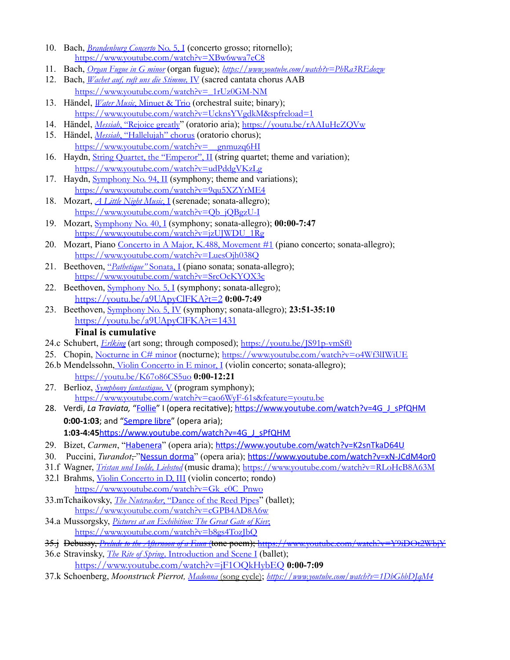- 10. Bach, *[Brandenburg](https://www.youtube.com/watch?v=XBw6wwa7eC8) Concerto* [No.](https://www.youtube.com/watch?v=XBw6wwa7eC8) 5, I (concerto grosso; ritornello); <https://www.youtube.com/watch?v=XBw6wwa7eC8>
- 11. Bach, *[Organ Fugue](https://www.youtube.com/watch?v=PhRa3REdozw) in G minor* (organ fugue); *<https://www.youtube.com/watch?v=PhRa3REdozw>*
- 12. Bach, *Wachet auf, ruft uns die [Stimme,](https://www.youtube.com/watch?v=_1rUz0GM-NM)* [IV](https://www.youtube.com/watch?v=_1rUz0GM-NM) (sacred cantata chorus AAB [https://www.youtube.com/watch?v=\\_1rUz0GM-NM](https://www.youtube.com/watch?v=_1rUz0GM-NM)
- 13. Händel, *[Water](https://www.youtube.com/watch?v=HFXckl6lCkE) Music*, [Minuet](https://www.youtube.com/watch?v=HFXckl6lCkE) & Trio (orchestral suite; binary); [https://www.youtube.com/watch?v=UcknsYVgdkM&spfreload=1](https://www.youtube.com/watch?v=HFXckl6lCkE)
- 14. Händel, *[Messiah](https://youtu.be/rAAIuHeZQVw)*, ["Rejoice](https://youtu.be/rAAIuHeZQVw) greatly" (oratorio aria); <https://youtu.be/rAAIuHeZQVw>
- 15. Händel, *[Messiah](https://www.youtube.com/watch?v=__gnmuzq6HI)*, ["Hallelujah"](https://www.youtube.com/watch?v=__gnmuzq6HI) chorus (oratorio chorus); https://www.youtube.com/watch?v=\_gnmuzq6HI
- 16. Haydn, *String Quartet, the ["Emperor",](https://www.youtube.com/watch?v=udPddgVKzLg) II* (string quartet; theme and variation); <https://www.youtube.com/watch?v=udPddgVKzLg>
- 17. Haydn, **[Symphony](https://www.youtube.com/watch?v=9qu5XZYrME4) No. 94, II** (symphony; theme and variations); <https://www.youtube.com/watch?v=9qu5XZYrME4>
- 18. Mozart, *A Little Night [Music](https://www.youtube.com/watch?v=Qb_jQBgzU-I)*, [I](https://www.youtube.com/watch?v=Qb_jQBgzU-I) (serenade; sonata-allegro); [https://www.youtube.com/watch?v=Qb\\_jQBgzU-I](https://www.youtube.com/watch?v=Qb_jQBgzU-I)
- 19. Mozart, [Symphony](https://www.youtube.com/watch?v=jzUJWDU_1Rg) No. 40, I (symphony; sonata-allegro); **00:00-7:47** [https://www.youtube.com/watch?v=jzUJWDU\\_1Rg](https://www.youtube.com/watch?v=jzUJWDU_1Rg)
- 20. Mozart, Piano Concerto in A Major, K.488, [Movement](https://youtu.be/LuesOjh038Q) #1 (piano concerto; sonata-allegro); <https://www.youtube.com/watch?v=LuesOjh038Q>
- 21. Beethoven, ["](https://www.youtube.com/watch?v=SrcOcKYQX3c)*[Pathetique"](https://www.youtube.com/watch?v=SrcOcKYQX3c)* [Sonata,](https://www.youtube.com/watch?v=SrcOcKYQX3c) I (piano sonata; sonata-allegro); <https://www.youtube.com/watch?v=SrcOcKYQX3c>
- 22. Beethoven, [Symphony](https://youtu.be/a9UApyClFKA?t=2) No. 5, I (symphony; sonata-allegro); <https://youtu.be/a9UApyClFKA?t=2> **0:00-7:49**
- 23. Beethoven, [Symphony](https://youtu.be/a9UApyClFKA?t=1431) No. 5, IV (symphony; sonata-allegro); **23:51-35:10** <https://youtu.be/a9UApyClFKA?t=1431>

#### **Final is cumulative**

- 24.c Schubert, *[Erlking](https://youtu.be/JS91p-vmSf0)* (art song; through composed); https://voutu.be/JS91p-vmSf0
- 25. Chopin, [Nocturne](https://www.youtube.com/watch?v=o4Wf3lIWiUE) in C# minor (nocturne); <https://www.youtube.com/watch?v=o4Wf3lIWiUE>
- 26.b Mendelssohn, Violin [Concerto](https://youtu.be/K67o86CS5uo) in E minor, I (violin concerto; sonata-allegro); <https://youtu.be/K67o86CS5uo> **0:00-12:21**
- 27. Berlioz, *Symphony [fantastique,](https://youtu.be/cao6WyF-61s)* [V](https://youtu.be/cao6WyF-61s) (program symphony); <https://www.youtube.com/watch?v=cao6WyF-61s&feature=youtu.be>
- 28. Verdi, La Traviata, "[Follie"](https://www.youtube.com/watch?v=4G_J_sPfQHM) I (opera recitative); https://www.youtube.com/watch?v=4G\_J\_sPfQHM **0:00-1:03**; and ["Sempre](https://www.youtube.com/watch?v=4G_J_sPfQHM) libre" (opera aria); 1:03-4:45https://www.youtube.com/watch?v=4G J sPfQHM
- 29. Bizet, *Carmen*, "[Habenera](https://www.youtube.com/watch?v=K2snTkaD64U)" (opera aria); https://www.youtube.com/watch?v=K2snTkaD64U
- 30. Puccini, *Turandot*, "[Nessun](https://www.youtube.com/watch?v=xN-JCdM4or0) dorma" (opera aria); https://www.youtube.com/watch?v=xN-JCdM4or0
- 31.f Wagner, *[Tristan und](https://www.youtube.com/watch?v=RLoHcB8A63M) Isolde, Liebstod* (music drama); <https://www.youtube.com/watch?v=RLoHcB8A63M>
- 32.l Brahms, Violin [Concerto](https://www.youtube.com/watch?v=Gk_e0C_Pnwo) in D, III (violin concerto; rondo) [https://www.youtube.com/watch?v=Gk\\_e0C\\_Pnwo](https://www.youtube.com/watch?v=Gk_e0C_Pnwo)
- 33.mTchaikovsky, *The [Nutcracker](https://www.youtube.com/watch?v=cGPB4AD8A6w)*, ["Dance](https://www.youtube.com/watch?v=cGPB4AD8A6w) of the Reed Pipes" (ballet); <https://www.youtube.com/watch?v=cGPB4AD8A6w>
- 34.a Mussorgsky, *Pictures at [an Exhibition:](https://www.youtube.com/watch?v=b8gs4TozJbQ) The Great Gate of Kiev*[;](https://www.youtube.com/watch?v=b8gs4TozJbQ) <https://www.youtube.com/watch?v=b8gs4TozJbQ>
- 35.j Debussy, *Prelude to the [Afternoon of](https://www.youtube.com/watch?v=Y9iDOt2WbjY) a Faun* (tone poem); <https://www.youtube.com/watch?v=Y9iDOt2WbjY>
- 36.e Stravinsky, *The Rite of [Spring,](https://www.youtube.com/watch?v=jF1OQkHybEQ)* [Introduction](https://www.youtube.com/watch?v=jF1OQkHybEQ) and Scene I (ballet); <https://www.youtube.com/watch?v=jF1OQkHybEQ> **0:00-7:09**
- 37.k Schoenberg, *Moonstruck Pierrot, [Madonna](https://www.youtube.com/watch?v=1DbGhbDJqM4)* (song cycle); *<https://www.youtube.com/watch?v=1DbGhbDJqM4>*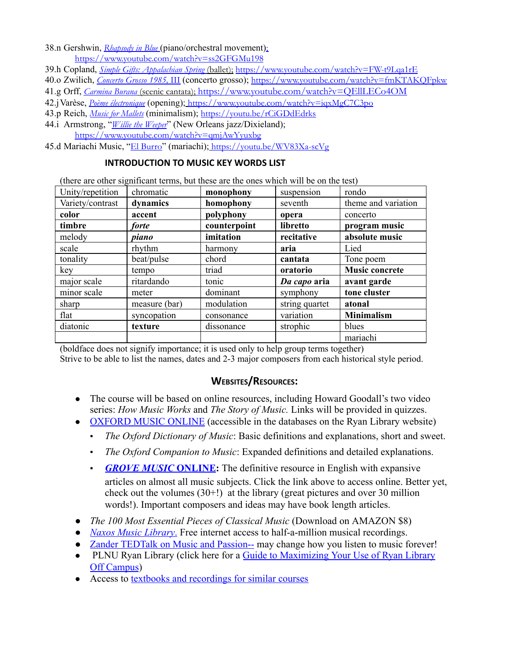38.n Gershwin, *[Rhapsody](https://www.youtube.com/watch?v=ss2GFGMu198) in Blue* (piano/orchestral movement); <https://www.youtube.com/watch?v=ss2GFGMu198>

- 39.h Copland, *Simple Gifts: [Appalachian Spring](https://www.youtube.com/watch?v=FW-t9Lqa1rE)* [\(ballet\);](https://www.youtube.com/watch?v=FW-t9Lqa1rE) <https://www.youtube.com/watch?v=FW-t9Lqa1rE>
- 40.o Zwilich, *[Concerto Grosso 1985,](https://www.youtube.com/watch?v=fmKTAKQFpkw)* [III](https://www.youtube.com/watch?v=fmKTAKQFpkw) (concerto grosso); <https://www.youtube.com/watch?v=fmKTAKQFpkw>
- 41.g Orff, *[Carmina](https://www.youtube.com/watch?v=QEllLECo4OM) Burana* (scenic cantata); <https://www.youtube.com/watch?v=QEllLECo4OM>
- 42.jVarèse, *Poème [électronique](https://www.youtube.com/watch?v=iqxMgC7C3po)* (opening); <https://www.youtube.com/watch?v=iqxMgC7C3po>
- 43.p Reich, *Music for [Mallets](https://youtu.be/rCiGDdEdrks)* (minimalism); <https://youtu.be/rCiGDdEdrks>
- 44.i Armstrong, "*Willie the [Weeper](https://www.youtube.com/watch?v=qmjAwYyuxbg)*" (New Orleans jazz/Dixieland); <https://www.youtube.com/watch?v=qmjAwYyuxbg>
- 45.d Mariachi Music, "El [Burro](https://youtu.be/WV83Xa-scVg)" (mariachi); <https://youtu.be/WV83Xa-scVg>

#### **INTRODUCTION TO MUSIC KEY WORDS LIST**

(there are other significant terms, but these are the ones which will be on the test)

| Unity/repetition | chromatic     | monophony    | suspension     | rondo                 |
|------------------|---------------|--------------|----------------|-----------------------|
| Variety/contrast | dynamics      | homophony    | seventh        | theme and variation   |
| color            | accent        | polyphony    | opera          | concerto              |
| timbre           | forte         | counterpoint | libretto       | program music         |
| melody           | piano         | imitation    | recitative     | absolute music        |
| scale            | rhythm        | harmony      | aria           | Lied                  |
| tonality         | beat/pulse    | chord        | cantata        | Tone poem             |
| key              | tempo         | triad        | oratorio       | <b>Music concrete</b> |
| major scale      | ritardando    | tonic        | Da capo aria   | avant garde           |
| minor scale      | meter         | dominant     | symphony       | tone cluster          |
| sharp            | measure (bar) | modulation   | string quartet | atonal                |
| flat             | syncopation   | consonance   | variation      | <b>Minimalism</b>     |
| diatonic         | texture       | dissonance   | strophic       | blues                 |
|                  |               |              |                | mariachi              |

(boldface does not signify importance; it is used only to help group terms together)

Strive to be able to list the names, dates and 2-3 major composers from each historical style period.

#### **WEBSITES/RESOURCES:**

- The course will be based on online resources, including Howard Goodall's two video series: *How Music Works* and *The Story of Music.* Links will be provided in quizzes.
- [OXFORD MUSIC ONLINE](https://www-oxfordmusiconline-com.pointloma.idm.oclc.org/) (accessible in the databases on the Ryan Library website)
	- *The Oxford Dictionary of Music* : Basic definitions and explanations, short and sweet.
	- *The Oxford Companion to Music* : Expanded definitions and detailed explanations.
	- **[GROVE MUSIC](https://www-oxfordmusiconline-com.pointloma.idm.oclc.org/) ONLINE:** The definitive resource in English with expansive articles on almost all music subjects. Click the link above to access online. Better yet, check out the volumes (30+!) at the library (great pictures and over 30 million words!). Important composers and ideas may have book length articles.
- *The 100 Most Essential Pieces of Classical Music* (Download on AMAZON \$8)
- *[Naxos Music Library](https://pointloma-nml3-naxosmusiclibrary-com.pointloma.idm.oclc.org/)* [.](https://pointloma-nml3-naxosmusiclibrary-com.pointloma.idm.oclc.org/) Free internet access to half-a-million musical recordings.
- *●* [Zander TEDTalk on Music and Passion--](http://www.ted.com/talks/benjamin_zander_on_music_and_passion) may change how you listen to music forever!
- PLNU Ryan Library (click here for a Guide to Maximizing Your Use of Ryan Library [Off Campus](https://www.pointloma.edu/resources/undergraduate-studies/your-guide-maximizing-your-use-ryan-library-campus))
- Access to [textbooks and recordings for similar courses](http://music.wadsworth.com/)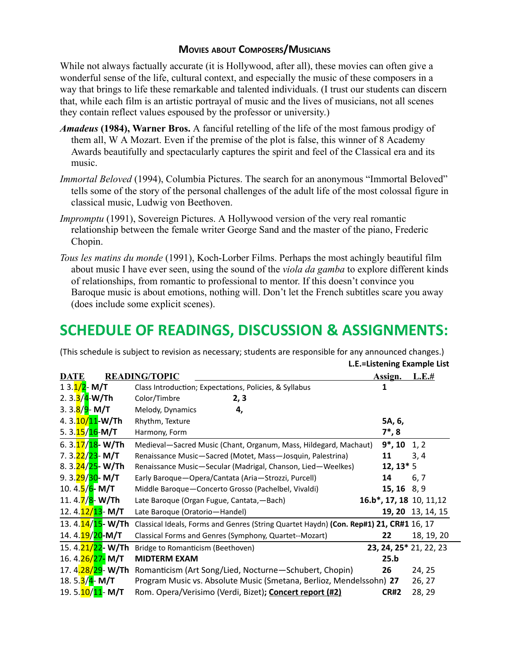#### **MOVIES ABOUT COMPOSERS/MUSICIANS**

While not always factually accurate (it is Hollywood, after all), these movies can often give a wonderful sense of the life, cultural context, and especially the music of these composers in a way that brings to life these remarkable and talented individuals. (I trust our students can discern that, while each film is an artistic portrayal of music and the lives of musicians, not all scenes they contain reflect values espoused by the professor or university.)

- *Amadeus* **(1984), Warner Bros.** A fanciful retelling of the life of the most famous prodigy of them all, W A Mozart. Even if the premise of the plot is false, this winner of 8 Academy Awards beautifully and spectacularly captures the spirit and feel of the Classical era and its music.
- *Immortal Beloved* (1994), Columbia Pictures. The search for an anonymous "Immortal Beloved" tells some of the story of the personal challenges of the adult life of the most colossal figure in classical music, Ludwig von Beethoven.
- *Impromptu* (1991), Sovereign Pictures. A Hollywood version of the very real romantic relationship between the female writer George Sand and the master of the piano, Frederic Chopin.
- *Tous les matins du monde* (1991), Koch-Lorber Films. Perhaps the most achingly beautiful film about music I have ever seen, using the sound of the *viola da gamba* to explore different kinds of relationships, from romantic to professional to mentor. If this doesn't convince you Baroque music is about emotions, nothing will. Don't let the French subtitles scare you away (does include some explicit scenes).

## **SCHEDULE OF READINGS, DISCUSSION & ASSIGNMENTS:**

(This schedule is subject to revision as necessary; students are responsible for any announced changes.)

**L.E.=Listening Example List**

| <b>DATE</b>                      | <b>READING/TOPIC</b>                                                                   | Assign.                               | L.E.#             |
|----------------------------------|----------------------------------------------------------------------------------------|---------------------------------------|-------------------|
| $13.1/2 - M/T$                   | Class Introduction; Expectations, Policies, & Syllabus                                 | 1                                     |                   |
| 2.3.3/4-W/Th                     | Color/Timbre<br>2, 3                                                                   |                                       |                   |
| 3. 3. <mark>8/9</mark> - M/T     | Melody, Dynamics<br>4,                                                                 |                                       |                   |
| 4.3.20/11-W/Th                   | Rhythm, Texture                                                                        | 5A, 6,                                |                   |
| 5.3.25/26-M/T                    | Harmony, Form                                                                          | $7^*$ , 8                             |                   |
| 6.3. <mark>17/18</mark> - W/Th   | Medieval-Sacred Music (Chant, Organum, Mass, Hildegard, Machaut)                       | 9*, 10                                | 1, 2              |
| 7. 3.22/23- M/T                  | Renaissance Music-Sacred (Motet, Mass-Josquin, Palestrina)                             | 11                                    | 3, 4              |
| 8.3.24/25-W/Th                   | Renaissance Music-Secular (Madrigal, Chanson, Lied-Weelkes)                            | $12, 13*5$                            |                   |
| 9. 3. <mark>29/30</mark> - M/T   | Early Baroque - Opera/Cantata (Aria - Strozzi, Purcell)                                | 14                                    | 6, 7              |
| 10.4. <mark>5/6</mark> - M/T     | Middle Baroque-Concerto Grosso (Pachelbel, Vivaldi)                                    | $15, 16$ 8, 9                         |                   |
| 11. 4. <mark>7/8</mark> - W/Th   | Late Baroque (Organ Fugue, Cantata, - Bach)                                            | 16.b <sup>*</sup> , 17, 18 10, 11, 12 |                   |
| 12. 4. <mark>12/13</mark> - M/T  | Late Baroque (Oratorio-Handel)                                                         |                                       | 19, 20 13, 14, 15 |
| 13. 4. 14/15 - W/Th              | Classical Ideals, Forms and Genres (String Quartet Haydn) (Con. Rep#1) 21, CR#1 16, 17 |                                       |                   |
| 14.4. <mark>19/20</mark> -M/T    | Classical Forms and Genres (Symphony, Quartet--Mozart)                                 | 22                                    | 18, 19, 20        |
| 15.4.21/22-W/Th                  | Bridge to Romanticism (Beethoven)                                                      | 23, 24, 25* 21, 22, 23                |                   |
| 16.4.26/27-M/T                   | <b>MIDTERM EXAM</b>                                                                    | 25.b                                  |                   |
| 17. 4 <mark>.28/29</mark> - W/Th | Romanticism (Art Song/Lied, Nocturne-Schubert, Chopin)                                 | 26                                    | 24, 25            |
| 18. 5.3/4- M/T                   | Program Music vs. Absolute Music (Smetana, Berlioz, Mendelssohn) 27                    |                                       | 26, 27            |
| 19. 5. <mark>10/11</mark> - M/T  | Rom. Opera/Verisimo (Verdi, Bizet); Concert report (#2)                                | <b>CR#2</b>                           | 28, 29            |